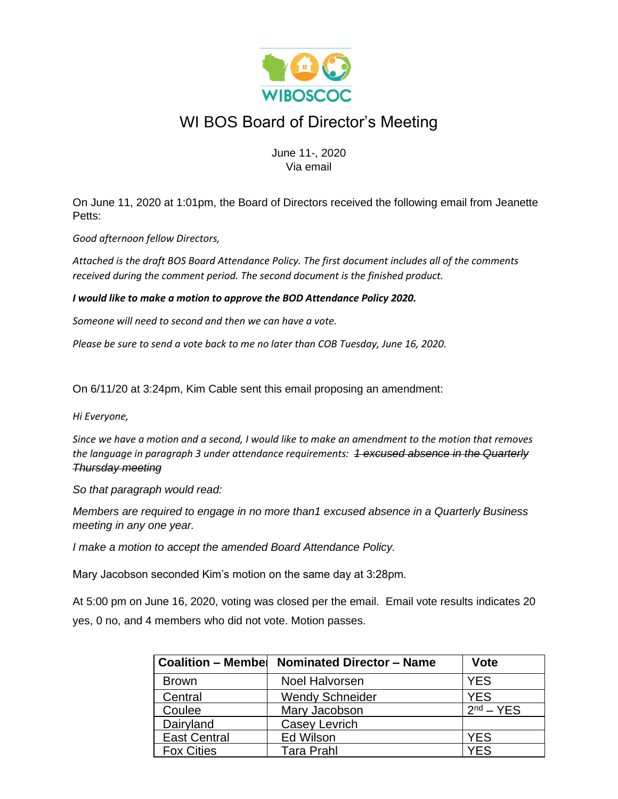

## WI BOS Board of Director's Meeting

June 11-, 2020 Via email

On June 11, 2020 at 1:01pm, the Board of Directors received the following email from Jeanette Petts:

*Good afternoon fellow Directors,*

*Attached is the draft BOS Board Attendance Policy. The first document includes all of the comments received during the comment period. The second document is the finished product.*

*I would like to make a motion to approve the BOD Attendance Policy 2020.*

*Someone will need to second and then we can have a vote.*

*Please be sure to send a vote back to me no later than COB Tuesday, June 16, 2020.*

On 6/11/20 at 3:24pm, Kim Cable sent this email proposing an amendment:

*Hi Everyone,*

*Since we have a motion and a second, I would like to make an amendment to the motion that removes the language in paragraph 3 under attendance requirements: 1 excused absence in the Quarterly Thursday meeting*

*So that paragraph would read:*

*Members are required to engage in no more than1 excused absence in a Quarterly Business meeting in any one year.*

*I make a motion to accept the amended Board Attendance Policy.*

Mary Jacobson seconded Kim's motion on the same day at 3:28pm.

At 5:00 pm on June 16, 2020, voting was closed per the email. Email vote results indicates 20 yes, 0 no, and 4 members who did not vote. Motion passes.

| <b>Coalition - Membel</b> | <b>Nominated Director - Name</b> | <b>Vote</b> |
|---------------------------|----------------------------------|-------------|
| <b>Brown</b>              | <b>Noel Halvorsen</b>            | <b>YES</b>  |
| Central                   | <b>Wendy Schneider</b>           | <b>YES</b>  |
| Coulee                    | Mary Jacobson                    | $2nd - YES$ |
| Dairyland                 | Casey Levrich                    |             |
| <b>East Central</b>       | Ed Wilson                        | <b>YES</b>  |
| <b>Fox Cities</b>         | <b>Tara Prahl</b>                | YES         |